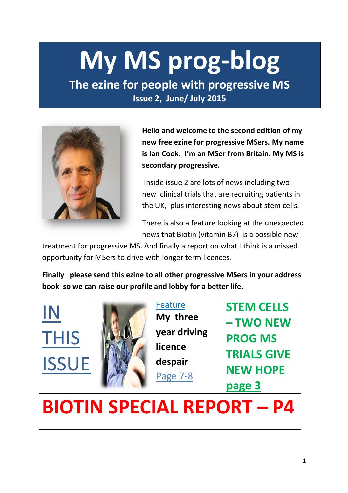# **My MS prog-blog**

**The ezine for people with progressive MS Issue 2, June/ July 2015** 



**Hello and welcome to the second edition of my new free ezine for progressive MSers. My name is Ian Cook. I'm an MSer from Britain. My MS is secondary progressive.** 

Inside issue 2 are lots of news including two new clinical trials that are recruiting patients in the UK, plus interesting news about stem cells.

There is also a feature looking at the unexpected news that Biotin (vitamin B7) is a possible new

treatment for progressive MS. And finally a report on what I think is a missed opportunity for MSers to drive with longer term licences.

**Finally please send this ezine to all other progressive MSers in your address book so we can raise our profile and lobby for a better life.**





Feature **My three year driving licence despair**  Page 7-8

**STEM CELLS – TWO NEW PROG MS TRIALS GIVE NEW HOPE page 3**

**BIOTIN SPECIAL REPORT – P4**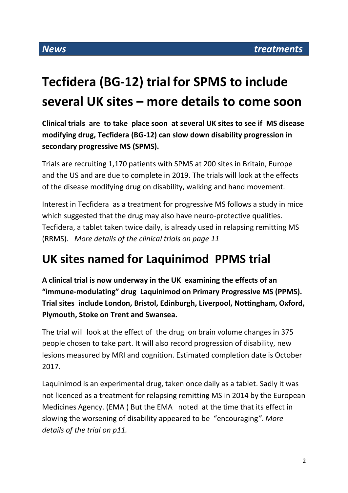# **Tecfidera (BG-12) trial for SPMS to include several UK sites – more details to come soon**

**Clinical trials are to take place soon at several UK sites to see if MS disease modifying drug, Tecfidera (BG-12) can slow down disability progression in secondary progressive MS (SPMS).** 

Trials are recruiting 1,170 patients with SPMS at 200 sites in Britain, Europe and the US and are due to complete in 2019. The trials will look at the effects of the disease modifying drug on disability, walking and hand movement.

Interest in Tecfidera as a treatment for progressive MS follows a study in mice which suggested that the drug may also have neuro-protective qualities. Tecfidera, a tablet taken twice daily, is already used in relapsing remitting MS (RRMS). *More details of the clinical trials on page 11*

# **UK sites named for Laquinimod PPMS trial**

**A clinical trial is now underway in the UK examining the effects of an "immune-modulating" drug Laquinimod on Primary Progressive MS (PPMS). Trial sites include London, Bristol, Edinburgh, Liverpool, Nottingham, Oxford, Plymouth, Stoke on Trent and Swansea.**

The trial will look at the effect of the drug on brain volume changes in 375 people chosen to take part. It will also record progression of disability, new lesions measured by MRI and cognition. Estimated completion date is October 2017.

Laquinimod is an experimental drug, taken once daily as a tablet. Sadly it was not licenced as a treatment for relapsing remitting MS in 2014 by the European Medicines Agency. (EMA ) But the EMA noted at the time that its effect in slowing the worsening of disability appeared to be "encouraging*". More details of the trial on p11.*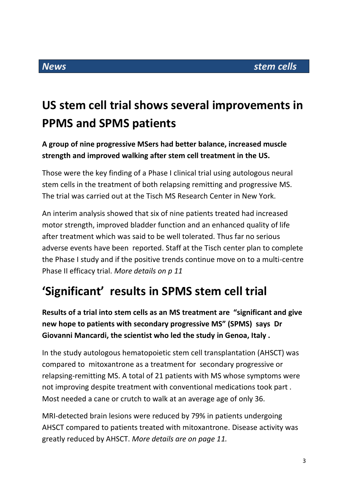# **US stem cell trial shows several improvements in PPMS and SPMS patients**

# **A group of nine progressive MSers had better balance, increased muscle strength and improved walking after stem cell treatment in the US.**

Those were the key finding of a Phase I clinical trial using autologous neural stem cells in the treatment of both relapsing remitting and progressive MS. The trial was carried out at the Tisch MS Research Center in New York.

An interim analysis showed that six of nine patients treated had increased motor strength, improved bladder function and an enhanced quality of life after treatment which was said to be well tolerated. Thus far no serious adverse events have been reported. Staff at the Tisch center plan to complete the Phase I study and if the positive trends continue move on to a multi-centre Phase II efficacy trial. *More details on p 11*

# **'Significant' results in SPMS stem cell trial**

**Results of a trial into stem cells as an MS treatment are "significant and give new hope to patients with secondary progressive MS" (SPMS) says Dr Giovanni Mancardi, the scientist who led the study in Genoa, Italy .**

In the study autologous hematopoietic stem cell transplantation (AHSCT) was compared to mitoxantrone as a treatment for secondary progressive or relapsing-remitting MS. A total of 21 patients with MS whose symptoms were not improving despite treatment with conventional medications took part . Most needed a cane or crutch to walk at an average age of only 36.

MRI-detected brain lesions were reduced by 79% in patients undergoing AHSCT compared to patients treated with mitoxantrone. Disease activity was greatly reduced by AHSCT. *More details are on page 11.*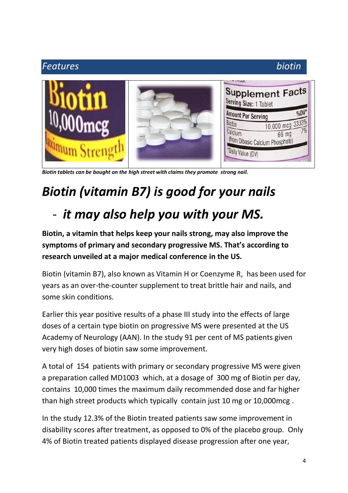## *Features biotin*  Supplement Facts Serving Size: 1 Tablet **Amount Per Serving**  $0/0V$ 3333% Biotin  $10.000$  mcg Calcium 66 mg (from Dibasic Calcium Phosphate) \*Daily Value (DV)

*Biotin tablets can be bought on the high street with claims they promote strong nail.*

# *Biotin (vitamin B7) is good for your nails*

# - *it may also help you with your MS.*

**Biotin, a vitamin that helps keep your nails strong, may also improve the symptoms of primary and secondary progressive MS. That's according to research unveiled at a major medical conference in the US.**

Biotin (vitamin B7), also known as Vitamin H or Coenzyme R, has been used for years as an over-the-counter supplement to treat brittle hair and nails, and some skin conditions.

Earlier this year positive results of a phase III study into the effects of large doses of a certain type biotin on progressive MS were presented at the US Academy of Neurology (AAN). In the study 91 per cent of MS patients given very high doses of biotin saw some improvement.

A total of 154 patients with primary or secondary progressive MS were given a preparation called MD1003 which, at a dosage of 300 mg of Biotin per day, contains 10,000 times the maximum daily recommended dose and far higher than high street products which typically contain just 10 mg or 10,000mcg .

In the study 12.3% of the Biotin treated patients saw some improvement in disability scores after treatment, as opposed to 0% of the placebo group. Only 4% of Biotin treated patients displayed disease progression after one year,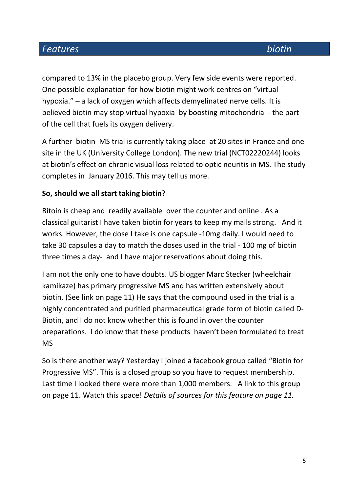# *Features biotin*

compared to 13% in the placebo group. Very few side events were reported. One possible explanation for how biotin might work centres on "virtual hypoxia." – a lack of oxygen which affects demyelinated nerve cells. It is believed biotin may stop virtual hypoxia by boosting mitochondria - the part of the cell that fuels its oxygen delivery.

A further biotin MS trial is currently taking place at 20 sites in France and one site in the UK (University College London). The new trial (NCT02220244) looks at biotin's effect on chronic visual loss related to optic neuritis in MS. The study completes in January 2016. This may tell us more.

## **So, should we all start taking biotin?**

Bitoin is cheap and readily available over the counter and online . As a classical guitarist I have taken biotin for years to keep my mails strong. And it works. However, the dose I take is one capsule -10mg daily. I would need to take 30 capsules a day to match the doses used in the trial - 100 mg of biotin three times a day- and I have major reservations about doing this.

I am not the only one to have doubts. US blogger Marc Stecker (wheelchair kamikaze) has primary progressive MS and has written extensively about biotin. (See link on page 11) He says that the compound used in the trial is a highly concentrated and purified pharmaceutical grade form of biotin called D-Biotin, and I do not know whether this is found in over the counter preparations. I do know that these products haven't been formulated to treat MS

So is there another way? Yesterday I joined a facebook group called "Biotin for Progressive MS". This is a closed group so you have to request membership. Last time I looked there were more than 1,000 members. A link to this group on page 11. Watch this space! *Details of sources for this feature on page 11.*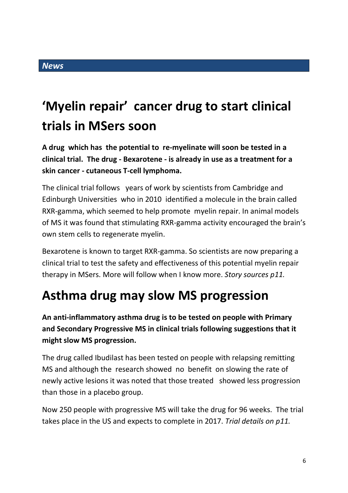# **'Myelin repair' cancer drug to start clinical trials in MSers soon**

**A drug which has the potential to re-myelinate will soon be tested in a clinical trial. The drug - Bexarotene - is already in use as a treatment for a skin cancer - cutaneous T-cell lymphoma.**

The clinical trial follows years of work by scientists from Cambridge and Edinburgh Universities who in 2010 identified a molecule in the brain called RXR-gamma, which seemed to help promote myelin repair. In animal models of MS it was found that stimulating RXR-gamma activity encouraged the brain's own stem cells to regenerate myelin.

Bexarotene is known to target RXR-gamma. So scientists are now preparing a clinical trial to test the safety and effectiveness of this potential myelin repair therapy in MSers. More will follow when I know more. *Story sources p11.*

# **Asthma drug may slow MS progression**

**An anti-inflammatory asthma drug is to be tested on people with Primary and Secondary Progressive MS in clinical trials following suggestions that it might slow MS progression.** 

The drug called Ibudilast has been tested on people with relapsing remitting MS and although the research showed no benefit on slowing the rate of newly active lesions it was noted that those treated showed less progression than those in a placebo group.

Now 250 people with progressive MS will take the drug for 96 weeks. The trial takes place in the US and expects to complete in 2017. *Trial details on p11.*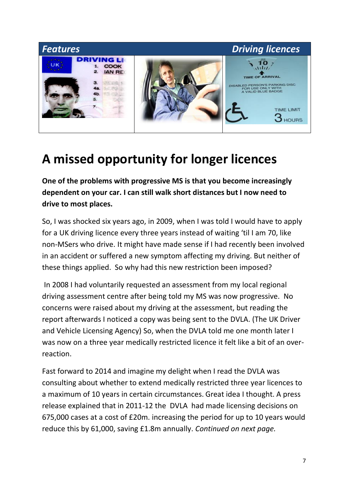

# **A missed opportunity for longer licences**

**One of the problems with progressive MS is that you become increasingly dependent on your car. I can still walk short distances but I now need to drive to most places.** 

So, I was shocked six years ago, in 2009, when I was told I would have to apply for a UK driving licence every three years instead of waiting 'til I am 70, like non-MSers who drive. It might have made sense if I had recently been involved in an accident or suffered a new symptom affecting my driving. But neither of these things applied. So why had this new restriction been imposed?

In 2008 I had voluntarily requested an assessment from my local regional driving assessment centre after being told my MS was now progressive. No concerns were raised about my driving at the assessment, but reading the report afterwards I noticed a copy was being sent to the DVLA. (The UK Driver and Vehicle Licensing Agency) So, when the DVLA told me one month later I was now on a three year medically restricted licence it felt like a bit of an overreaction.

Fast forward to 2014 and imagine my delight when I read the DVLA was consulting about whether to extend medically restricted three year licences to a maximum of 10 years in certain circumstances. Great idea I thought. A press release explained that in 2011-12 the DVLA had made licensing decisions on 675,000 cases at a cost of £20m. increasing the period for up to 10 years would reduce this by 61,000, saving £1.8m annually. *Continued on next page.*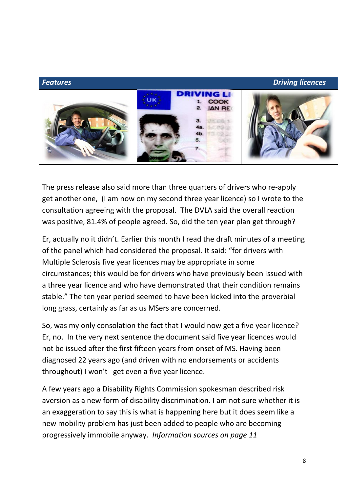

The press release also said more than three quarters of drivers who re-apply get another one, (I am now on my second three year licence) so I wrote to the consultation agreeing with the proposal. The DVLA said the overall reaction was positive, 81.4% of people agreed. So, did the ten year plan get through?

Er, actually no it didn't. Earlier this month I read the draft minutes of a meeting of the panel which had considered the proposal. It said: "for drivers with Multiple Sclerosis five year licences may be appropriate in some circumstances; this would be for drivers who have previously been issued with a three year licence and who have demonstrated that their condition remains stable." The ten year period seemed to have been kicked into the proverbial long grass, certainly as far as us MSers are concerned.

So, was my only consolation the fact that I would now get a five year licence? Er, no. In the very next sentence the document said five year licences would not be issued after the first fifteen years from onset of MS. Having been diagnosed 22 years ago (and driven with no endorsements or accidents throughout) I won't get even a five year licence.

A few years ago a Disability Rights Commission spokesman described risk aversion as a new form of disability discrimination. I am not sure whether it is an exaggeration to say this is what is happening here but it does seem like a new mobility problem has just been added to people who are becoming progressively immobile anyway. *Information sources on page 11*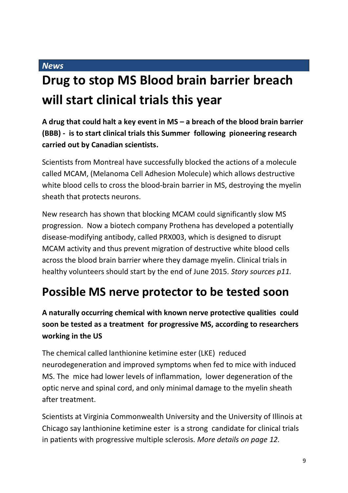### *News*

# **Drug to stop MS Blood brain barrier breach will start clinical trials this year**

**A drug that could halt a key event in MS – a breach of the blood brain barrier (BBB) - is to start clinical trials this Summer following pioneering research carried out by Canadian scientists.**

Scientists from Montreal have successfully blocked the actions of a molecule called MCAM, (Melanoma Cell Adhesion Molecule) which allows destructive white blood cells to cross the blood-brain barrier in MS, destroying the myelin sheath that protects neurons.

New research has shown that blocking MCAM could significantly slow MS progression. Now a biotech company Prothena has developed a potentially disease-modifying antibody, called PRX003, which is designed to disrupt MCAM activity and thus prevent migration of destructive white blood cells across the blood brain barrier where they damage myelin. Clinical trials in healthy volunteers should start by the end of June 2015. *Story sources p11.*

# **Possible MS nerve protector to be tested soon**

# **A naturally occurring chemical with known nerve protective qualities could soon be tested as a treatment for progressive MS, according to researchers working in the US**

The chemical called lanthionine ketimine ester (LKE) reduced neurodegeneration and improved symptoms when fed to mice with induced MS. The mice had lower levels of inflammation, lower degeneration of the optic nerve and spinal cord, and only minimal damage to the myelin sheath after treatment.

Scientists at Virginia Commonwealth University and the University of Illinois at Chicago say lanthionine ketimine ester is a strong candidate for clinical trials in patients with progressive multiple sclerosis. *More details on page 12.*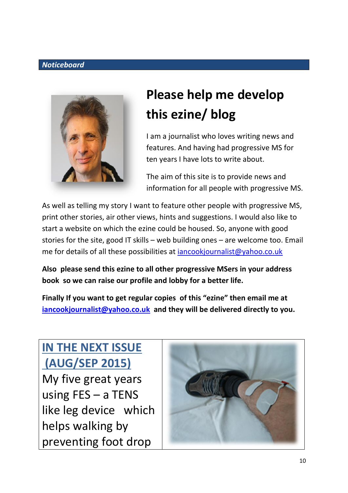## *Noticeboard*



# **Please help me develop this ezine/ blog**

I am a journalist who loves writing news and features. And having had progressive MS for ten years I have lots to write about.

The aim of this site is to provide news and information for all people with progressive MS.

As well as telling my story I want to feature other people with progressive MS, print other stories, air other views, hints and suggestions. I would also like to start a website on which the ezine could be housed. So, anyone with good stories for the site, good IT skills – web building ones – are welcome too. Email me for details of all these possibilities at [iancookjournalist@yahoo.co.uk](mailto:iancookjournalist@yahoo.co.uk)

**Also please send this ezine to all other progressive MSers in your address book so we can raise our profile and lobby for a better life.**

**Finally If you want to get regular copies of this "ezine" then email me at [iancookjournalist@yahoo.co.uk](mailto:iancookjournalist@yahoo.co.uk) and they will be delivered directly to you.**

**IN THE NEXT ISSUE (AUG/SEP 2015)** My five great years using FES – a TENS like leg device which helps walking by preventing foot drop

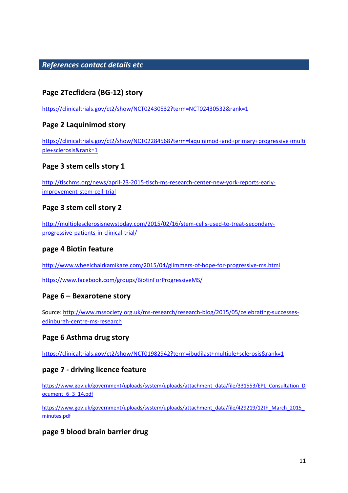### *References contact details etc*

## **Page 2Tecfidera (BG-12) story**

<https://clinicaltrials.gov/ct2/show/NCT02430532?term=NCT02430532&rank=1>

### **Page 2 Laquinimod story**

[https://clinicaltrials.gov/ct2/show/NCT02284568?term=laquinimod+and+primary+progressive+multi](https://clinicaltrials.gov/ct2/show/NCT02284568?term=laquinimod+and+primary+progressive+multiple+sclerosis&rank=1) [ple+sclerosis&rank=1](https://clinicaltrials.gov/ct2/show/NCT02284568?term=laquinimod+and+primary+progressive+multiple+sclerosis&rank=1)

### **Page 3 stem cells story 1**

[http://tischms.org/news/april-23-2015-tisch-ms-research-center-new-york-reports-early](http://tischms.org/news/april-23-2015-tisch-ms-research-center-new-york-reports-early-improvement-stem-cell-trial)[improvement-stem-cell-trial](http://tischms.org/news/april-23-2015-tisch-ms-research-center-new-york-reports-early-improvement-stem-cell-trial)

### **Page 3 stem cell story 2**

[http://multiplesclerosisnewstoday.com/2015/02/16/stem-cells-used-to-treat-secondary](http://multiplesclerosisnewstoday.com/2015/02/16/stem-cells-used-to-treat-secondary-progressive-patients-in-clinical-trial/)[progressive-patients-in-clinical-trial/](http://multiplesclerosisnewstoday.com/2015/02/16/stem-cells-used-to-treat-secondary-progressive-patients-in-clinical-trial/)

#### **page 4 Biotin feature**

<http://www.wheelchairkamikaze.com/2015/04/glimmers-of-hope-for-progressive-ms.html>

https://www.facebook.com/groups/BiotinForProgressiveMS/

#### **Page 6 – Bexarotene story**

Source: [http://www.mssociety.org.uk/ms-research/research-blog/2015/05/celebrating-successes](http://www.mssociety.org.uk/ms-research/research-blog/2015/05/celebrating-successes-edinburgh-centre-ms-research)[edinburgh-centre-ms-research](http://www.mssociety.org.uk/ms-research/research-blog/2015/05/celebrating-successes-edinburgh-centre-ms-research)

### **Page 6 Asthma drug story**

<https://clinicaltrials.gov/ct2/show/NCT01982942?term=ibudilast+multiple+sclerosis&rank=1>

#### **page 7 - driving licence feature**

[https://www.gov.uk/government/uploads/system/uploads/attachment\\_data/file/331553/EPL\\_Consultation\\_D](https://www.gov.uk/government/uploads/system/uploads/attachment_data/file/331553/EPL_Consultation_Document_6_3_14.pdf) ocument 6\_3\_14.pdf

[https://www.gov.uk/government/uploads/system/uploads/attachment\\_data/file/429219/12th\\_March\\_2015\\_](https://www.gov.uk/government/uploads/system/uploads/attachment_data/file/429219/12th_March_2015_minutes.pdf) [minutes.pdf](https://www.gov.uk/government/uploads/system/uploads/attachment_data/file/429219/12th_March_2015_minutes.pdf)

### **page 9 blood brain barrier drug**